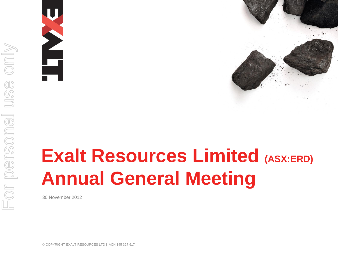





# **Exalt Resources Limited (ASX:ERD) Annual General Meeting**

30 November 2012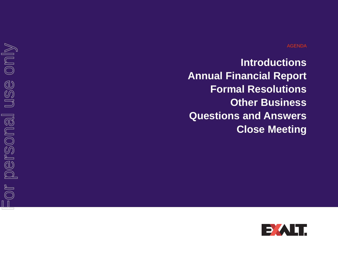**Introductions Annual Financial Report Formal Resolutions Other Business Questions and Answers Close Meeting**

-or personal use only For personal use only

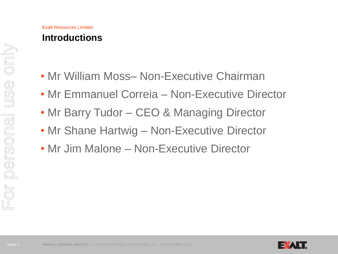#### Exalt Resources Limited **Introductions**

- Mr William Moss– Non-Executive Chairman
- Mr Emmanuel Correia Non-Executive Director
- Mr Barry Tudor CEO & Managing Director
- Mr Shane Hartwig Non-Executive Director
- Mr Jim Malone Non-Executive Director

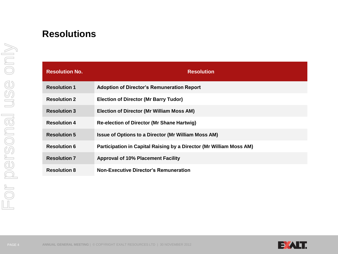## **Resolutions**

| <b>Resolution No.</b> | <b>Resolution</b>                                                   |
|-----------------------|---------------------------------------------------------------------|
| <b>Resolution 1</b>   | <b>Adoption of Director's Remuneration Report</b>                   |
| <b>Resolution 2</b>   | <b>Election of Director (Mr Barry Tudor)</b>                        |
| <b>Resolution 3</b>   | <b>Election of Director (Mr William Moss AM)</b>                    |
| <b>Resolution 4</b>   | <b>Re-election of Director (Mr Shane Hartwig)</b>                   |
| <b>Resolution 5</b>   | <b>Issue of Options to a Director (Mr William Moss AM)</b>          |
| <b>Resolution 6</b>   | Participation in Capital Raising by a Director (Mr William Moss AM) |
| <b>Resolution 7</b>   | <b>Approval of 10% Placement Facility</b>                           |
| <b>Resolution 8</b>   | <b>Non-Executive Director's Remuneration</b>                        |

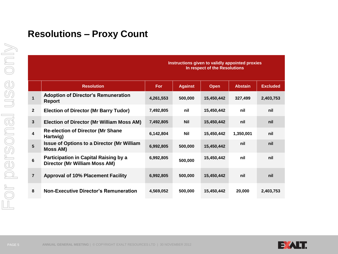#### **Resolutions – Proxy Count**

|                         |                                                                               | In respect of the Resolutions |                |             |                |                 |
|-------------------------|-------------------------------------------------------------------------------|-------------------------------|----------------|-------------|----------------|-----------------|
|                         | <b>Resolution</b>                                                             | <b>For</b>                    | <b>Against</b> | <b>Open</b> | <b>Abstain</b> | <b>Excluded</b> |
| $\mathbf{1}$            | <b>Adoption of Director's Remuneration</b><br><b>Report</b>                   | 4,261,553                     | 500,000        | 15,450,442  | 327,499        | 2,403,753       |
| $\overline{2}$          | <b>Election of Director (Mr Barry Tudor)</b>                                  | 7,492,805                     | nil            | 15,450,442  | nil            | nil             |
| $\overline{\mathbf{3}}$ | <b>Election of Director (Mr William Moss AM)</b>                              | 7,492,805                     | <b>Nil</b>     | 15,450,442  | nil            | nil             |
| 4                       | <b>Re-election of Director (Mr Shane</b><br>Hartwig)                          | 6,142,804                     | <b>Nil</b>     | 15,450,442  | 1,350,001      | nil             |
| 5                       | <b>Issue of Options to a Director (Mr William</b><br><b>Moss AM)</b>          | 6,992,805                     | 500,000        | 15,450,442  | nil            | nil             |
| 6                       | <b>Participation in Capital Raising by a</b><br>Director (Mr William Moss AM) | 6,992,805                     | 500,000        | 15,450,442  | nil            | nil             |
| $\overline{\mathbf{r}}$ | <b>Approval of 10% Placement Facility</b>                                     | 6,992,805                     | 500,000        | 15,450,442  | nil            | nil             |
| 8                       | <b>Non-Executive Director's Remuneration</b>                                  | 4,569,052                     | 500,000        | 15,450,442  | 20,000         | 2,403,753       |

**Instructions given to validly appointed proxies** 



or personal use only For personal use only